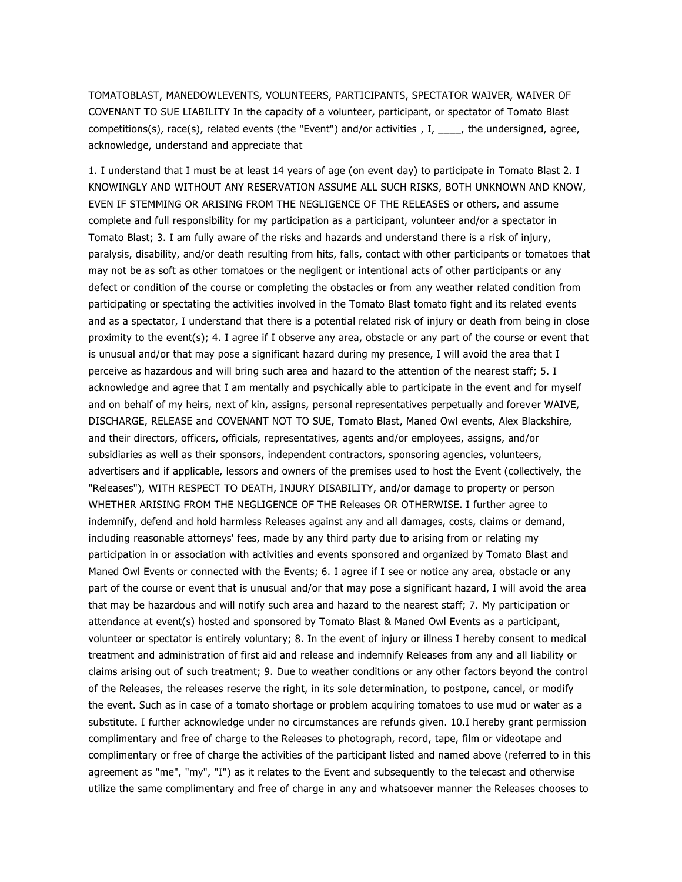TOMATOBLAST, MANEDOWLEVENTS, VOLUNTEERS, PARTICIPANTS, SPECTATOR WAIVER, WAIVER OF COVENANT TO SUE LIABILITY In the capacity of a volunteer, participant, or spectator of Tomato Blast competitions(s), race(s), related events (the "Event") and/or activities ,  $I, \_\_\_\_$ , the undersigned, agree, acknowledge, understand and appreciate that

1. I understand that I must be at least 14 years of age (on event day) to participate in Tomato Blast 2. I KNOWINGLY AND WITHOUT ANY RESERVATION ASSUME ALL SUCH RISKS, BOTH UNKNOWN AND KNOW, EVEN IF STEMMING OR ARISING FROM THE NEGLIGENCE OF THE RELEASES or others, and assume complete and full responsibility for my participation as a participant, volunteer and/or a spectator in Tomato Blast; 3. I am fully aware of the risks and hazards and understand there is a risk of injury, paralysis, disability, and/or death resulting from hits, falls, contact with other participants or tomatoes that may not be as soft as other tomatoes or the negligent or intentional acts of other participants or any defect or condition of the course or completing the obstacles or from any weather related condition from participating or spectating the activities involved in the Tomato Blast tomato fight and its related events and as a spectator, I understand that there is a potential related risk of injury or death from being in close proximity to the event(s); 4. I agree if I observe any area, obstacle or any part of the course or event that is unusual and/or that may pose a significant hazard during my presence, I will avoid the area that I perceive as hazardous and will bring such area and hazard to the attention of the nearest staff; 5. I acknowledge and agree that I am mentally and psychically able to participate in the event and for myself and on behalf of my heirs, next of kin, assigns, personal representatives perpetually and forever WAIVE, DISCHARGE, RELEASE and COVENANT NOT TO SUE, Tomato Blast, Maned Owl events, Alex Blackshire, and their directors, officers, officials, representatives, agents and/or employees, assigns, and/or subsidiaries as well as their sponsors, independent contractors, sponsoring agencies, volunteers, advertisers and if applicable, lessors and owners of the premises used to host the Event (collectively, the "Releases"), WITH RESPECT TO DEATH, INJURY DISABILITY, and/or damage to property or person WHETHER ARISING FROM THE NEGLIGENCE OF THE Releases OR OTHERWISE. I further agree to indemnify, defend and hold harmless Releases against any and all damages, costs, claims or demand, including reasonable attorneys' fees, made by any third party due to arising from or relating my participation in or association with activities and events sponsored and organized by Tomato Blast and Maned Owl Events or connected with the Events; 6. I agree if I see or notice any area, obstacle or any part of the course or event that is unusual and/or that may pose a significant hazard, I will avoid the area that may be hazardous and will notify such area and hazard to the nearest staff; 7. My participation or attendance at event(s) hosted and sponsored by Tomato Blast & Maned Owl Events as a participant, volunteer or spectator is entirely voluntary; 8. In the event of injury or illness I hereby consent to medical treatment and administration of first aid and release and indemnify Releases from any and all liability or claims arising out of such treatment; 9. Due to weather conditions or any other factors beyond the control of the Releases, the releases reserve the right, in its sole determination, to postpone, cancel, or modify the event. Such as in case of a tomato shortage or problem acquiring tomatoes to use mud or water as a substitute. I further acknowledge under no circumstances are refunds given. 10.I hereby grant permission complimentary and free of charge to the Releases to photograph, record, tape, film or videotape and complimentary or free of charge the activities of the participant listed and named above (referred to in this agreement as "me", "my", "I") as it relates to the Event and subsequently to the telecast and otherwise utilize the same complimentary and free of charge in any and whatsoever manner the Releases chooses to